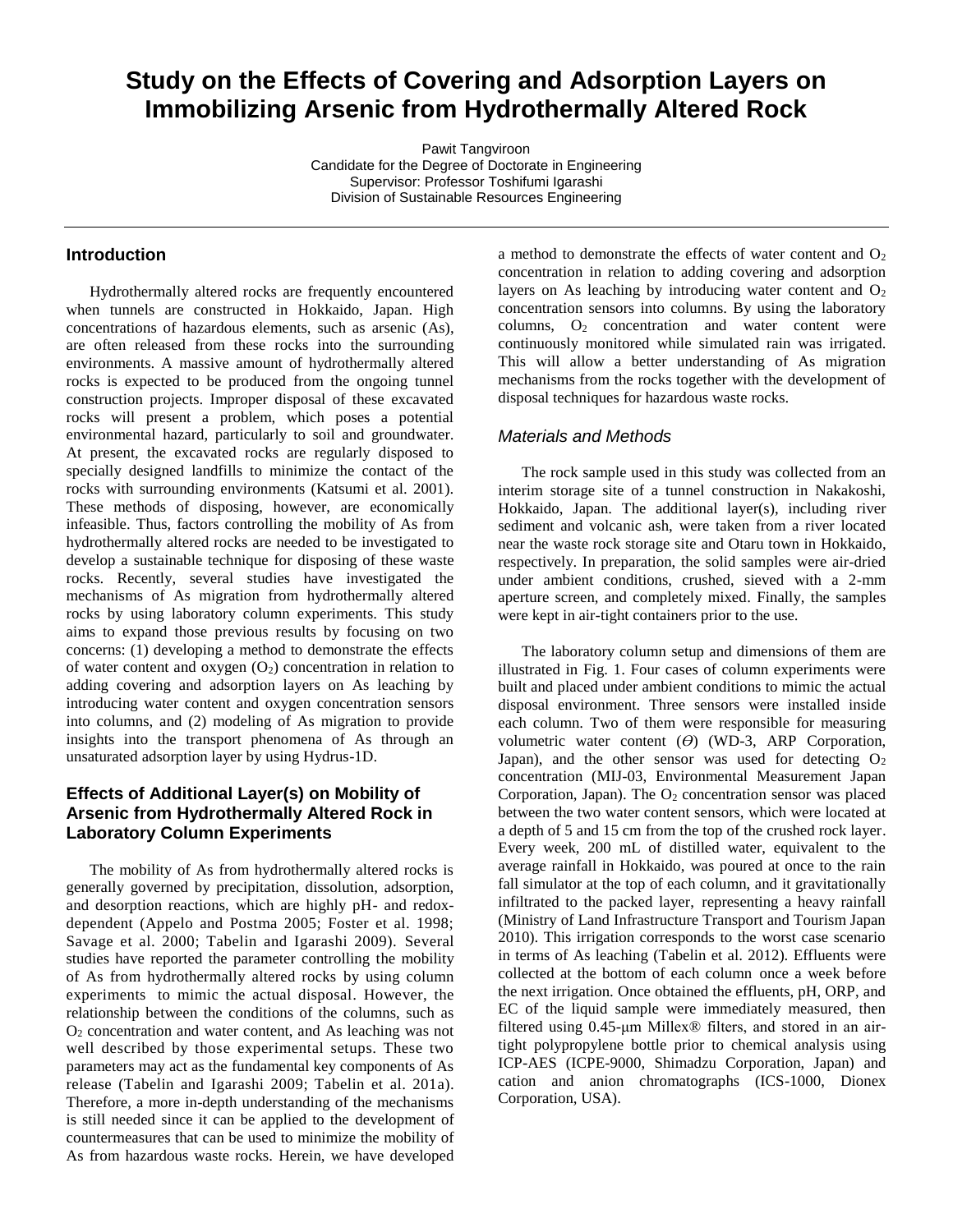# **Study on the Effects of Covering and Adsorption Layers on Immobilizing Arsenic from Hydrothermally Altered Rock**

Pawit Tangviroon Candidate for the Degree of Doctorate in Engineering Supervisor: Professor Toshifumi Igarashi Division of Sustainable Resources Engineering

## **Introduction**

Hydrothermally altered rocks are frequently encountered when tunnels are constructed in Hokkaido, Japan. High concentrations of hazardous elements, such as arsenic (As), are often released from these rocks into the surrounding environments. A massive amount of hydrothermally altered rocks is expected to be produced from the ongoing tunnel construction projects. Improper disposal of these excavated rocks will present a problem, which poses a potential environmental hazard, particularly to soil and groundwater. At present, the excavated rocks are regularly disposed to specially designed landfills to minimize the contact of the rocks with surrounding environments (Katsumi et al. 2001). These methods of disposing, however, are economically infeasible. Thus, factors controlling the mobility of As from hydrothermally altered rocks are needed to be investigated to develop a sustainable technique for disposing of these waste rocks. Recently, several studies have investigated the mechanisms of As migration from hydrothermally altered rocks by using laboratory column experiments. This study aims to expand those previous results by focusing on two concerns: (1) developing a method to demonstrate the effects of water content and oxygen  $(O_2)$  concentration in relation to adding covering and adsorption layers on As leaching by introducing water content and oxygen concentration sensors into columns, and (2) modeling of As migration to provide insights into the transport phenomena of As through an unsaturated adsorption layer by using Hydrus-1D.

# **Effects of Additional Layer(s) on Mobility of Arsenic from Hydrothermally Altered Rock in Laboratory Column Experiments**

The mobility of As from hydrothermally altered rocks is generally governed by precipitation, dissolution, adsorption, and desorption reactions, which are highly pH- and redoxdependent (Appelo and Postma 2005; Foster et al. 1998; Savage et al. 2000; Tabelin and Igarashi 2009). Several studies have reported the parameter controlling the mobility of As from hydrothermally altered rocks by using column experiments to mimic the actual disposal. However, the relationship between the conditions of the columns, such as O<sup>2</sup> concentration and water content, and As leaching was not well described by those experimental setups. These two parameters may act as the fundamental key components of As release (Tabelin and Igarashi 2009; Tabelin et al. 201a). Therefore, a more in-depth understanding of the mechanisms is still needed since it can be applied to the development of countermeasures that can be used to minimize the mobility of As from hazardous waste rocks. Herein, we have developed

a method to demonstrate the effects of water content and  $O_2$ concentration in relation to adding covering and adsorption layers on As leaching by introducing water content and  $O_2$ concentration sensors into columns. By using the laboratory columns, O<sub>2</sub> concentration and water content were continuously monitored while simulated rain was irrigated. This will allow a better understanding of As migration mechanisms from the rocks together with the development of disposal techniques for hazardous waste rocks.

#### *Materials and Methods*

The rock sample used in this study was collected from an interim storage site of a tunnel construction in Nakakoshi, Hokkaido, Japan. The additional layer(s), including river sediment and volcanic ash, were taken from a river located near the waste rock storage site and Otaru town in Hokkaido, respectively. In preparation, the solid samples were air-dried under ambient conditions, crushed, sieved with a 2-mm aperture screen, and completely mixed. Finally, the samples were kept in air-tight containers prior to the use.

The laboratory column setup and dimensions of them are illustrated in Fig. 1. Four cases of column experiments were built and placed under ambient conditions to mimic the actual disposal environment. Three sensors were installed inside each column. Two of them were responsible for measuring volumetric water content (*Ө*) (WD-3, ARP Corporation, Japan), and the other sensor was used for detecting  $O_2$ concentration (MIJ-03, Environmental Measurement Japan Corporation, Japan). The  $O<sub>2</sub>$  concentration sensor was placed between the two water content sensors, which were located at a depth of 5 and 15 cm from the top of the crushed rock layer. Every week, 200 mL of distilled water, equivalent to the average rainfall in Hokkaido, was poured at once to the rain fall simulator at the top of each column, and it gravitationally infiltrated to the packed layer, representing a heavy rainfall (Ministry of Land Infrastructure Transport and Tourism Japan 2010). This irrigation corresponds to the worst case scenario in terms of As leaching (Tabelin et al. 2012). Effluents were collected at the bottom of each column once a week before the next irrigation. Once obtained the effluents, pH, ORP, and EC of the liquid sample were immediately measured, then filtered using 0.45-μm Millex® filters, and stored in an airtight polypropylene bottle prior to chemical analysis using ICP-AES (ICPE-9000, Shimadzu Corporation, Japan) and cation and anion chromatographs (ICS-1000, Dionex Corporation, USA).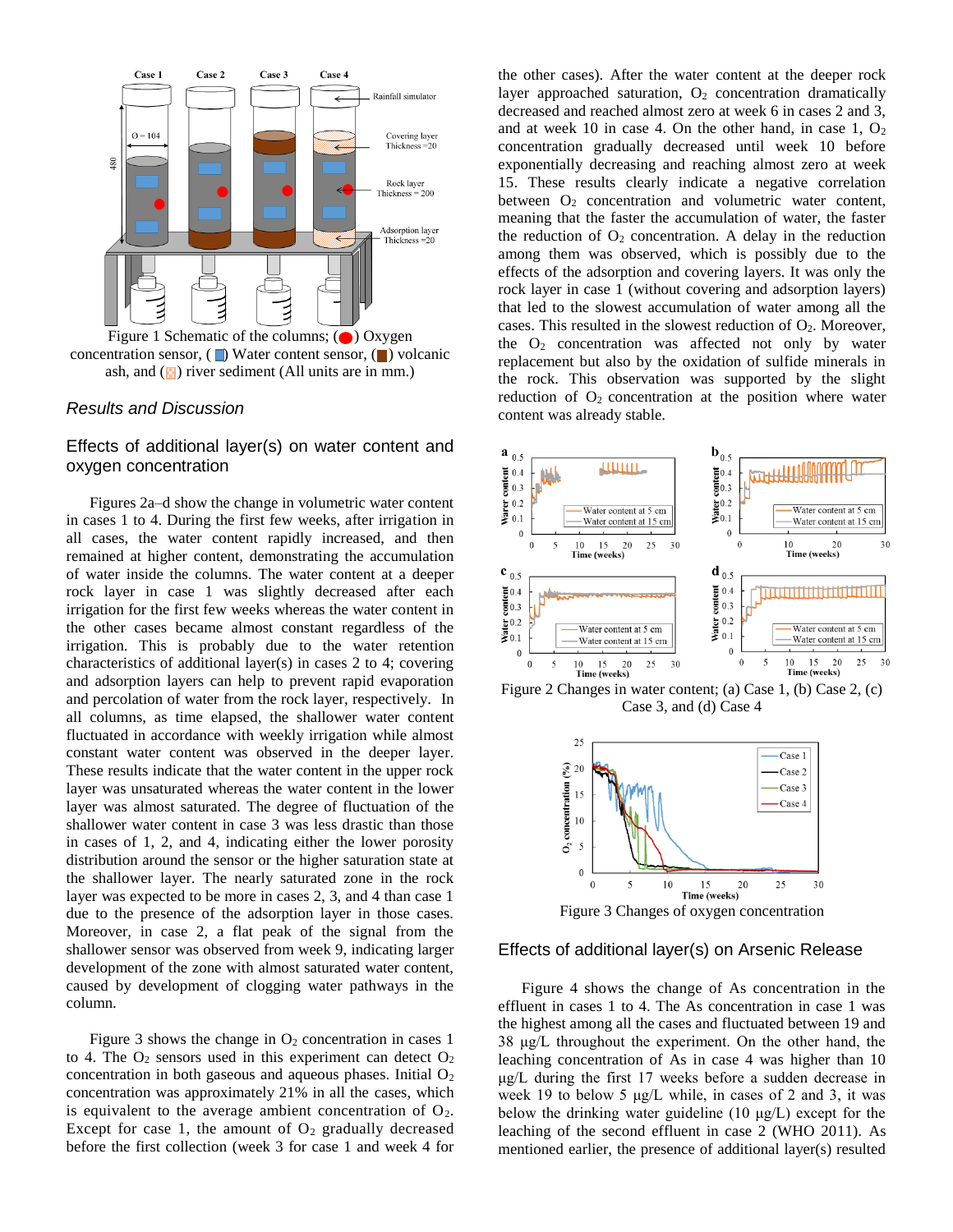

concentration sensor,  $(\Box)$  Water content sensor,  $(\Box)$  volcanic ash, and  $(\blacksquare)$  river sediment (All units are in mm.)

#### *Results and Discussion*

#### Effects of additional layer(s) on water content and oxygen concentration

Figures 2a–d show the change in volumetric water content in cases 1 to 4. During the first few weeks, after irrigation in all cases, the water content rapidly increased, and then remained at higher content, demonstrating the accumulation of water inside the columns. The water content at a deeper rock layer in case 1 was slightly decreased after each irrigation for the first few weeks whereas the water content in the other cases became almost constant regardless of the irrigation. This is probably due to the water retention characteristics of additional layer(s) in cases 2 to 4; covering and adsorption layers can help to prevent rapid evaporation and percolation of water from the rock layer, respectively. In all columns, as time elapsed, the shallower water content fluctuated in accordance with weekly irrigation while almost constant water content was observed in the deeper layer. These results indicate that the water content in the upper rock layer was unsaturated whereas the water content in the lower layer was almost saturated. The degree of fluctuation of the shallower water content in case 3 was less drastic than those in cases of 1, 2, and 4, indicating either the lower porosity distribution around the sensor or the higher saturation state at the shallower layer. The nearly saturated zone in the rock layer was expected to be more in cases 2, 3, and 4 than case 1 due to the presence of the adsorption layer in those cases. Moreover, in case 2, a flat peak of the signal from the shallower sensor was observed from week 9, indicating larger development of the zone with almost saturated water content, caused by development of clogging water pathways in the column.

Figure 3 shows the change in  $O_2$  concentration in cases 1 to 4. The  $O_2$  sensors used in this experiment can detect  $O_2$ concentration in both gaseous and aqueous phases. Initial  $O<sub>2</sub>$ concentration was approximately 21% in all the cases, which is equivalent to the average ambient concentration of  $O_2$ . Except for case 1, the amount of  $O<sub>2</sub>$  gradually decreased before the first collection (week 3 for case 1 and week 4 for

the other cases). After the water content at the deeper rock layer approached saturation,  $O_2$  concentration dramatically decreased and reached almost zero at week 6 in cases 2 and 3, and at week 10 in case 4. On the other hand, in case  $1, O_2$ concentration gradually decreased until week 10 before exponentially decreasing and reaching almost zero at week 15. These results clearly indicate a negative correlation between  $O_2$  concentration and volumetric water content, meaning that the faster the accumulation of water, the faster the reduction of  $O_2$  concentration. A delay in the reduction among them was observed, which is possibly due to the effects of the adsorption and covering layers. It was only the rock layer in case 1 (without covering and adsorption layers) that led to the slowest accumulation of water among all the cases. This resulted in the slowest reduction of O2. Moreover, the  $O_2$  concentration was affected not only by water replacement but also by the oxidation of sulfide minerals in the rock. This observation was supported by the slight reduction of  $O_2$  concentration at the position where water content was already stable.



Figure 2 Changes in water content; (a) Case 1, (b) Case 2, (c) Case 3, and (d) Case 4



#### Effects of additional layer(s) on Arsenic Release

Figure 4 shows the change of As concentration in the effluent in cases 1 to 4. The As concentration in case 1 was the highest among all the cases and fluctuated between 19 and 38 μg/L throughout the experiment. On the other hand, the leaching concentration of As in case 4 was higher than 10 μg/L during the first 17 weeks before a sudden decrease in week 19 to below 5  $\mu$ g/L while, in cases of 2 and 3, it was below the drinking water guideline (10 μg/L) except for the leaching of the second effluent in case 2 (WHO 2011). As mentioned earlier, the presence of additional layer(s) resulted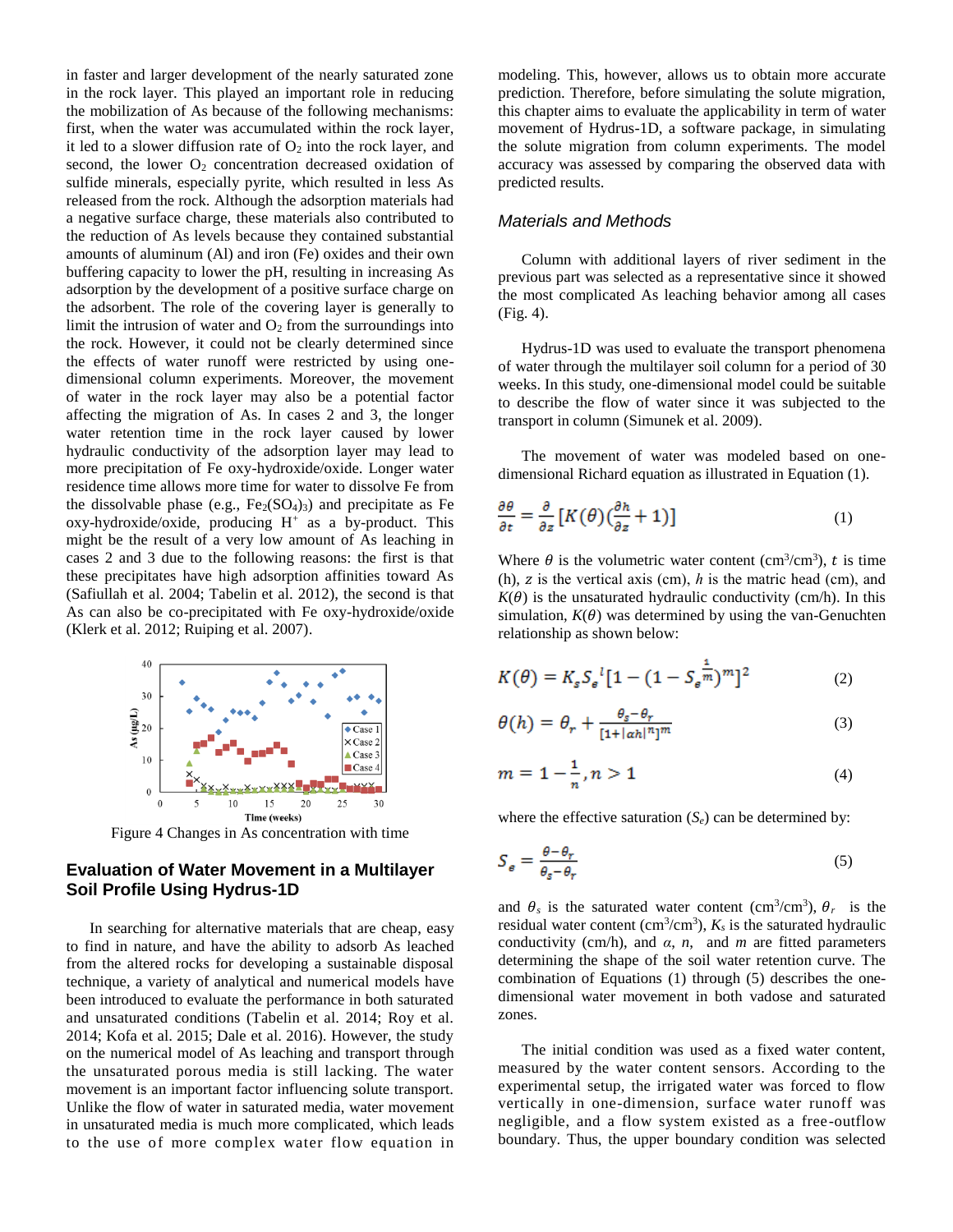in faster and larger development of the nearly saturated zone in the rock layer. This played an important role in reducing the mobilization of As because of the following mechanisms: first, when the water was accumulated within the rock layer, it led to a slower diffusion rate of  $O_2$  into the rock layer, and second, the lower  $O_2$  concentration decreased oxidation of sulfide minerals, especially pyrite, which resulted in less As released from the rock. Although the adsorption materials had a negative surface charge, these materials also contributed to the reduction of As levels because they contained substantial amounts of aluminum (Al) and iron (Fe) oxides and their own buffering capacity to lower the pH, resulting in increasing As adsorption by the development of a positive surface charge on the adsorbent. The role of the covering layer is generally to limit the intrusion of water and  $O_2$  from the surroundings into the rock. However, it could not be clearly determined since the effects of water runoff were restricted by using onedimensional column experiments. Moreover, the movement of water in the rock layer may also be a potential factor affecting the migration of As. In cases 2 and 3, the longer water retention time in the rock layer caused by lower hydraulic conductivity of the adsorption layer may lead to more precipitation of Fe oxy-hydroxide/oxide. Longer water residence time allows more time for water to dissolve Fe from the dissolvable phase (e.g.,  $Fe<sub>2</sub>(SO<sub>4</sub>)<sub>3</sub>$ ) and precipitate as Fe  $oxy$ -hydroxide/oxide, producing  $H^+$  as a by-product. This might be the result of a very low amount of As leaching in cases 2 and 3 due to the following reasons: the first is that these precipitates have high adsorption affinities toward As (Safiullah et al. 2004; Tabelin et al. 2012), the second is that As can also be co-precipitated with Fe oxy-hydroxide/oxide (Klerk et al. 2012; Ruiping et al. 2007).



Figure 4 Changes in As concentration with time

# **Evaluation of Water Movement in a Multilayer Soil Profile Using Hydrus-1D**

In searching for alternative materials that are cheap, easy to find in nature, and have the ability to adsorb As leached from the altered rocks for developing a sustainable disposal technique, a variety of analytical and numerical models have been introduced to evaluate the performance in both saturated and unsaturated conditions (Tabelin et al. 2014; Roy et al. 2014; Kofa et al. 2015; Dale et al. 2016). However, the study on the numerical model of As leaching and transport through the unsaturated porous media is still lacking. The water movement is an important factor influencing solute transport. Unlike the flow of water in saturated media, water movement in unsaturated media is much more complicated, which leads to the use of more complex water flow equation in

modeling. This, however, allows us to obtain more accurate prediction. Therefore, before simulating the solute migration, this chapter aims to evaluate the applicability in term of water movement of Hydrus-1D, a software package, in simulating the solute migration from column experiments. The model accuracy was assessed by comparing the observed data with predicted results.

# *Materials and Methods*

Column with additional layers of river sediment in the previous part was selected as a representative since it showed the most complicated As leaching behavior among all cases (Fig. 4).

Hydrus-1D was used to evaluate the transport phenomena of water through the multilayer soil column for a period of 30 weeks. In this study, one-dimensional model could be suitable to describe the flow of water since it was subjected to the transport in column (Simunek et al. 2009).

The movement of water was modeled based on onedimensional Richard equation as illustrated in Equation (1).

$$
\frac{\partial \theta}{\partial t} = \frac{\partial}{\partial z} \left[ K(\theta) \left( \frac{\partial h}{\partial z} + 1 \right) \right] \tag{1}
$$

Where  $\theta$  is the volumetric water content (cm<sup>3</sup>/cm<sup>3</sup>), t is time (h), z is the vertical axis (cm),  $h$  is the matric head (cm), and  $K(\theta)$  is the unsaturated hydraulic conductivity (cm/h). In this simulation,  $K(\theta)$  was determined by using the van-Genuchten relationship as shown below:

$$
K(\theta) = K_s S_e^{-1} [1 - (1 - S_e^{\frac{1}{m}})^m]^2
$$
 (2)

$$
\theta(h) = \theta_r + \frac{\theta_s - \theta_r}{[1 + |\alpha h|^n]^m} \tag{3}
$$

$$
m = 1 - \frac{1}{n}, n > 1 \tag{4}
$$

where the effective saturation  $(S_e)$  can be determined by:

$$
S_{\epsilon} = \frac{\theta - \theta_r}{\theta_s - \theta_r} \tag{5}
$$

and  $\theta_s$  is the saturated water content (cm<sup>3</sup>/cm<sup>3</sup>),  $\theta_r$  is the residual water content (cm<sup>3</sup>/cm<sup>3</sup>),  $K_s$  is the saturated hydraulic conductivity (cm/h), and *α*, *n*, and *m* are fitted parameters determining the shape of the soil water retention curve. The combination of Equations (1) through (5) describes the onedimensional water movement in both vadose and saturated zones.

The initial condition was used as a fixed water content, measured by the water content sensors. According to the experimental setup, the irrigated water was forced to flow vertically in one-dimension, surface water runoff was negligible, and a flow system existed as a free-outflow boundary. Thus, the upper boundary condition was selected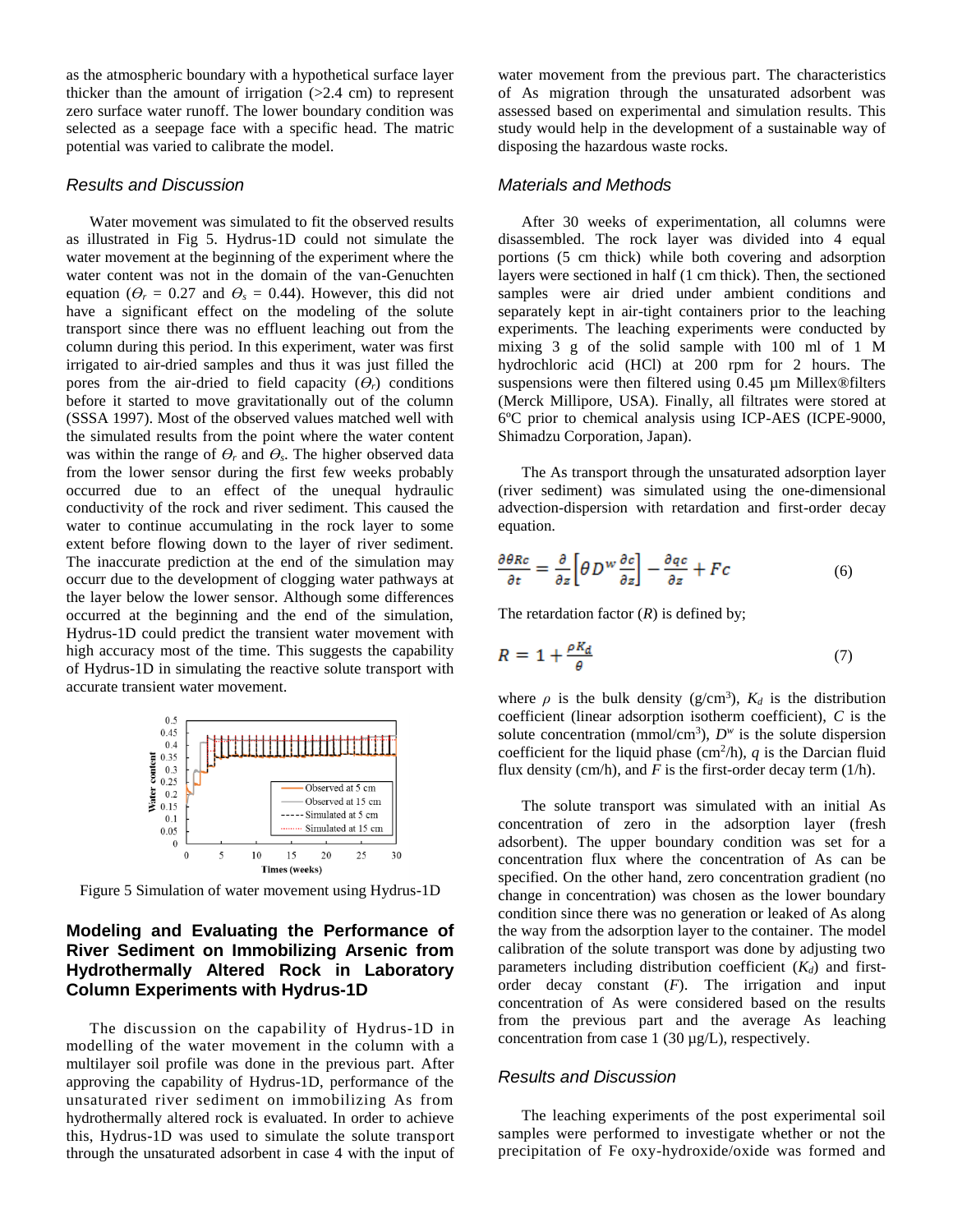as the atmospheric boundary with a hypothetical surface layer thicker than the amount of irrigation  $(>2.4$  cm) to represent zero surface water runoff. The lower boundary condition was selected as a seepage face with a specific head. The matric potential was varied to calibrate the model.

#### *Results and Discussion*

Water movement was simulated to fit the observed results as illustrated in Fig 5. Hydrus-1D could not simulate the water movement at the beginning of the experiment where the water content was not in the domain of the van-Genuchten equation ( $\theta_r = 0.27$  and  $\theta_s = 0.44$ ). However, this did not have a significant effect on the modeling of the solute transport since there was no effluent leaching out from the column during this period. In this experiment, water was first irrigated to air-dried samples and thus it was just filled the pores from the air-dried to field capacity  $(\theta_r)$  conditions before it started to move gravitationally out of the column (SSSA 1997). Most of the observed values matched well with the simulated results from the point where the water content was within the range of  $\theta_r$  and  $\theta_s$ . The higher observed data from the lower sensor during the first few weeks probably occurred due to an effect of the unequal hydraulic conductivity of the rock and river sediment. This caused the water to continue accumulating in the rock layer to some extent before flowing down to the layer of river sediment. The inaccurate prediction at the end of the simulation may occurr due to the development of clogging water pathways at the layer below the lower sensor. Although some differences occurred at the beginning and the end of the simulation, Hydrus-1D could predict the transient water movement with high accuracy most of the time. This suggests the capability of Hydrus-1D in simulating the reactive solute transport with accurate transient water movement.



Figure 5 Simulation of water movement using Hydrus-1D

## **Modeling and Evaluating the Performance of River Sediment on Immobilizing Arsenic from Hydrothermally Altered Rock in Laboratory Column Experiments with Hydrus-1D**

The discussion on the capability of Hydrus-1D in modelling of the water movement in the column with a multilayer soil profile was done in the previous part. After approving the capability of Hydrus-1D, performance of the unsaturated river sediment on immobilizing As from hydrothermally altered rock is evaluated. In order to achieve this, Hydrus-1D was used to simulate the solute transport through the unsaturated adsorbent in case 4 with the input of

water movement from the previous part. The characteristics of As migration through the unsaturated adsorbent was assessed based on experimental and simulation results. This study would help in the development of a sustainable way of disposing the hazardous waste rocks.

#### *Materials and Methods*

After 30 weeks of experimentation, all columns were disassembled. The rock layer was divided into 4 equal portions (5 cm thick) while both covering and adsorption layers were sectioned in half (1 cm thick). Then, the sectioned samples were air dried under ambient conditions and separately kept in air-tight containers prior to the leaching experiments. The leaching experiments were conducted by mixing 3 g of the solid sample with 100 ml of 1 M hydrochloric acid (HCl) at 200 rpm for 2 hours. The suspensions were then filtered using 0.45 µm Millex®filters (Merck Millipore, USA). Finally, all filtrates were stored at 6ºC prior to chemical analysis using ICP-AES (ICPE-9000, Shimadzu Corporation, Japan).

The As transport through the unsaturated adsorption layer (river sediment) was simulated using the one-dimensional advection-dispersion with retardation and first-order decay equation.

$$
\frac{\partial \theta Rc}{\partial t} = \frac{\partial}{\partial z} \left[ \theta D^w \frac{\partial c}{\partial z} \right] - \frac{\partial qc}{\partial z} + Fc \tag{6}
$$

The retardation factor  $(R)$  is defined by;

$$
R = 1 + \frac{\rho K_d}{\theta} \tag{7}
$$

where  $\rho$  is the bulk density ( $g/cm^3$ ),  $K_d$  is the distribution coefficient (linear adsorption isotherm coefficient), *C* is the solute concentration (mmol/cm<sup>3</sup>),  $D^w$  is the solute dispersion coefficient for the liquid phase  $\text{cm}^2/\text{h}$ , *q* is the Darcian fluid flux density (cm/h), and  $F$  is the first-order decay term (1/h).

The solute transport was simulated with an initial As concentration of zero in the adsorption layer (fresh adsorbent). The upper boundary condition was set for a concentration flux where the concentration of As can be specified. On the other hand, zero concentration gradient (no change in concentration) was chosen as the lower boundary condition since there was no generation or leaked of As along the way from the adsorption layer to the container. The model calibration of the solute transport was done by adjusting two parameters including distribution coefficient (*Kd*) and firstorder decay constant (*F*). The irrigation and input concentration of As were considered based on the results from the previous part and the average As leaching concentration from case 1 (30  $\mu$ g/L), respectively.

#### *Results and Discussion*

The leaching experiments of the post experimental soil samples were performed to investigate whether or not the precipitation of Fe oxy-hydroxide/oxide was formed and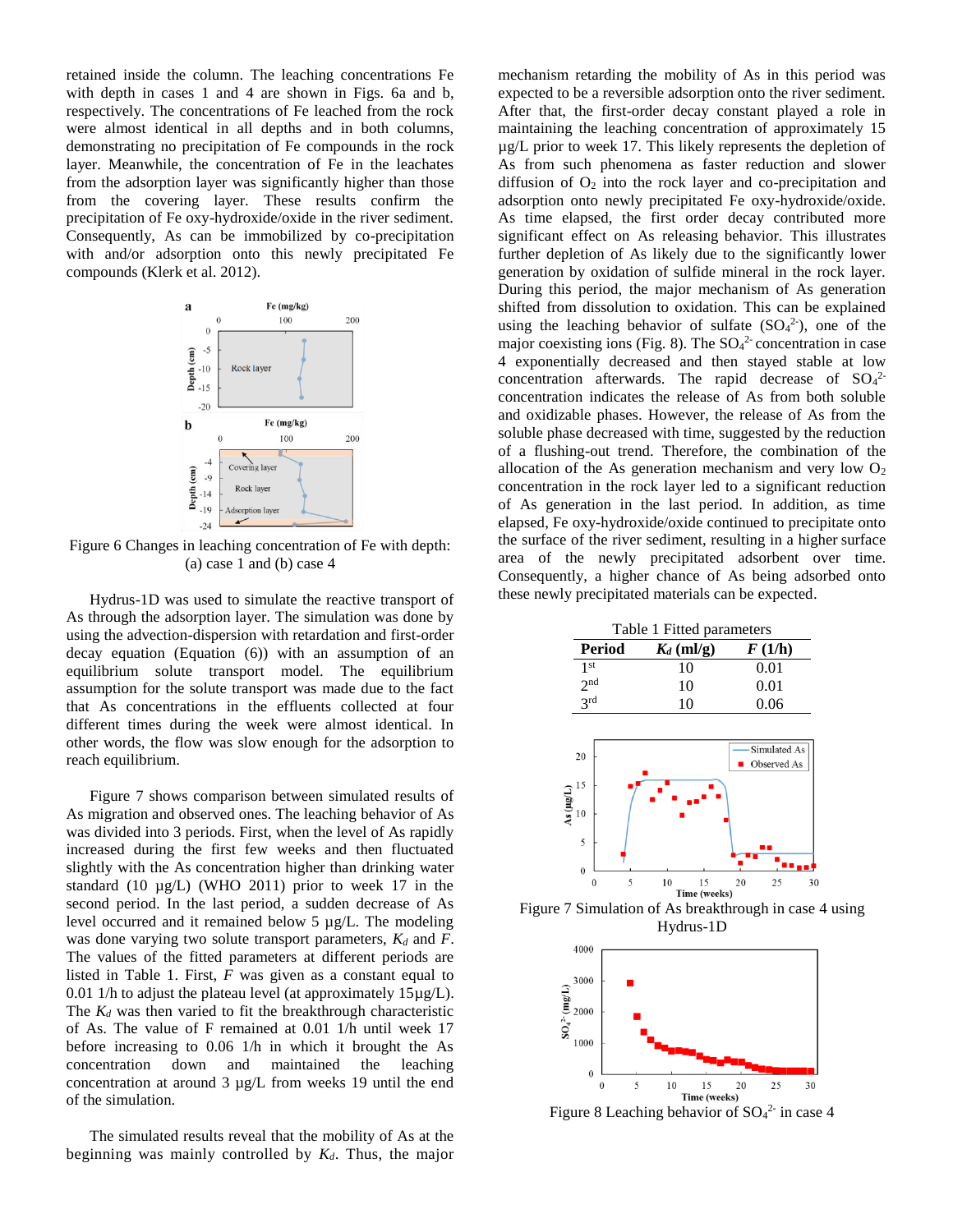retained inside the column. The leaching concentrations Fe with depth in cases 1 and 4 are shown in Figs. 6a and b, respectively. The concentrations of Fe leached from the rock were almost identical in all depths and in both columns, demonstrating no precipitation of Fe compounds in the rock layer. Meanwhile, the concentration of Fe in the leachates from the adsorption layer was significantly higher than those from the covering layer. These results confirm the precipitation of Fe oxy-hydroxide/oxide in the river sediment. Consequently, As can be immobilized by co-precipitation with and/or adsorption onto this newly precipitated Fe compounds (Klerk et al. 2012).



Figure 6 Changes in leaching concentration of Fe with depth: (a) case 1 and (b) case 4

Hydrus-1D was used to simulate the reactive transport of As through the adsorption layer. The simulation was done by using the advection-dispersion with retardation and first-order decay equation (Equation (6)) with an assumption of an equilibrium solute transport model. The equilibrium assumption for the solute transport was made due to the fact that As concentrations in the effluents collected at four different times during the week were almost identical. In other words, the flow was slow enough for the adsorption to reach equilibrium.

Figure 7 shows comparison between simulated results of As migration and observed ones. The leaching behavior of As was divided into 3 periods. First, when the level of As rapidly increased during the first few weeks and then fluctuated slightly with the As concentration higher than drinking water standard  $(10 \mu g/L)$  (WHO 2011) prior to week 17 in the second period. In the last period, a sudden decrease of As level occurred and it remained below 5 µg/L. The modeling was done varying two solute transport parameters, *K<sup>d</sup>* and *F*. The values of the fitted parameters at different periods are listed in Table 1. First, *F* was given as a constant equal to 0.01 1/h to adjust the plateau level (at approximately  $15\mu g/L$ ). The  $K_d$  was then varied to fit the breakthrough characteristic of As. The value of F remained at 0.01 1/h until week 17 before increasing to 0.06 1/h in which it brought the As concentration down and maintained the leaching concentration at around 3 µg/L from weeks 19 until the end of the simulation.

The simulated results reveal that the mobility of As at the beginning was mainly controlled by *Kd*. Thus, the major

mechanism retarding the mobility of As in this period was expected to be a reversible adsorption onto the river sediment. After that, the first-order decay constant played a role in maintaining the leaching concentration of approximately 15 µg/L prior to week 17. This likely represents the depletion of As from such phenomena as faster reduction and slower diffusion of  $O_2$  into the rock layer and co-precipitation and adsorption onto newly precipitated Fe oxy-hydroxide/oxide. As time elapsed, the first order decay contributed more significant effect on As releasing behavior. This illustrates further depletion of As likely due to the significantly lower generation by oxidation of sulfide mineral in the rock layer. During this period, the major mechanism of As generation shifted from dissolution to oxidation. This can be explained using the leaching behavior of sulfate  $(SO<sub>4</sub><sup>2</sup>)$ , one of the major coexisting ions (Fig. 8). The  $SO<sub>4</sub><sup>2</sup>$  concentration in case 4 exponentially decreased and then stayed stable at low concentration afterwards. The rapid decrease of  $SO<sub>4</sub><sup>2</sup>$ concentration indicates the release of As from both soluble and oxidizable phases. However, the release of As from the soluble phase decreased with time, suggested by the reduction of a flushing-out trend. Therefore, the combination of the allocation of the As generation mechanism and very low  $O_2$ concentration in the rock layer led to a significant reduction of As generation in the last period. In addition, as time elapsed, Fe oxy-hydroxide/oxide continued to precipitate onto the surface of the river sediment, resulting in a higher surface area of the newly precipitated adsorbent over time. Consequently, a higher chance of As being adsorbed onto these newly precipitated materials can be expected.



Figure 7 Simulation of As breakthrough in case 4 using Hydrus-1D



Figure 8 Leaching behavior of  $SO<sub>4</sub><sup>2</sup>$  in case 4